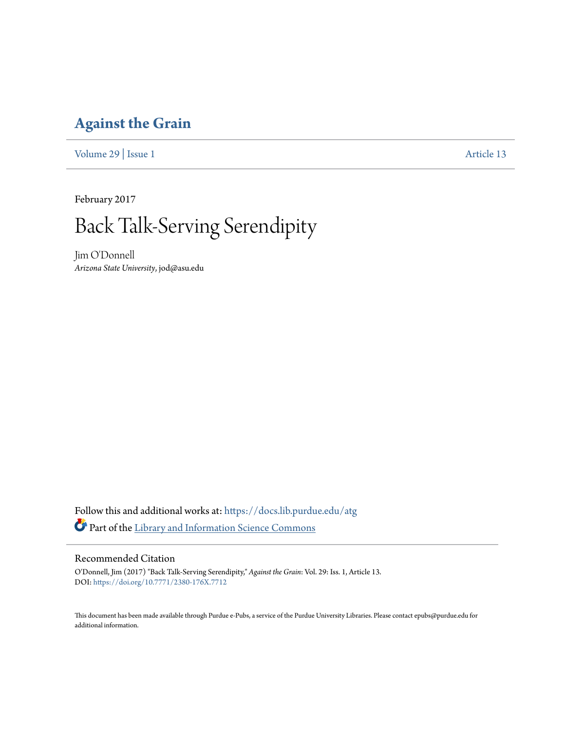## **[Against the Grain](https://docs.lib.purdue.edu/atg?utm_source=docs.lib.purdue.edu%2Fatg%2Fvol29%2Fiss1%2F13&utm_medium=PDF&utm_campaign=PDFCoverPages)**

[Volume 29](https://docs.lib.purdue.edu/atg/vol29?utm_source=docs.lib.purdue.edu%2Fatg%2Fvol29%2Fiss1%2F13&utm_medium=PDF&utm_campaign=PDFCoverPages) | [Issue 1](https://docs.lib.purdue.edu/atg/vol29/iss1?utm_source=docs.lib.purdue.edu%2Fatg%2Fvol29%2Fiss1%2F13&utm_medium=PDF&utm_campaign=PDFCoverPages) [Article 13](https://docs.lib.purdue.edu/atg/vol29/iss1/13?utm_source=docs.lib.purdue.edu%2Fatg%2Fvol29%2Fiss1%2F13&utm_medium=PDF&utm_campaign=PDFCoverPages)

February 2017

# Back Talk-Serving Serendipity

Jim O'Donnell *Arizona State University*, jod@asu.edu

Follow this and additional works at: [https://docs.lib.purdue.edu/atg](https://docs.lib.purdue.edu/atg?utm_source=docs.lib.purdue.edu%2Fatg%2Fvol29%2Fiss1%2F13&utm_medium=PDF&utm_campaign=PDFCoverPages) Part of the [Library and Information Science Commons](http://network.bepress.com/hgg/discipline/1018?utm_source=docs.lib.purdue.edu%2Fatg%2Fvol29%2Fiss1%2F13&utm_medium=PDF&utm_campaign=PDFCoverPages)

### Recommended Citation

O'Donnell, Jim (2017) "Back Talk-Serving Serendipity," *Against the Grain*: Vol. 29: Iss. 1, Article 13. DOI: <https://doi.org/10.7771/2380-176X.7712>

This document has been made available through Purdue e-Pubs, a service of the Purdue University Libraries. Please contact epubs@purdue.edu for additional information.